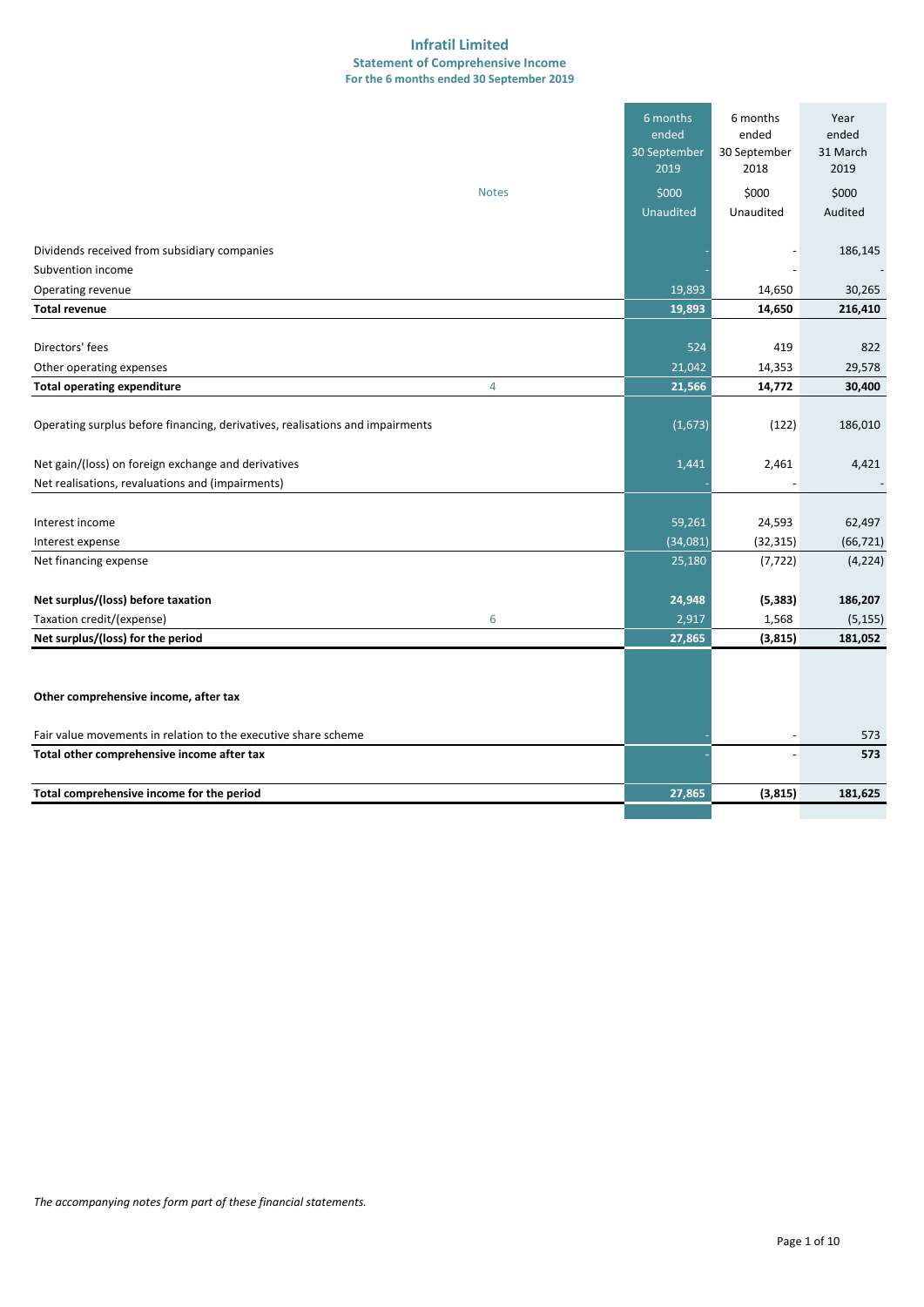#### **Infratil Limited Statement of Comprehensive Income For the 6 months ended 30 September 2019**

|                                                                               |              | 6 months<br>ended<br>30 September<br>2019 | 6 months<br>ended<br>30 September<br>2018 | Year<br>ended<br>31 March<br>2019 |
|-------------------------------------------------------------------------------|--------------|-------------------------------------------|-------------------------------------------|-----------------------------------|
|                                                                               | <b>Notes</b> | \$000                                     | \$000                                     | \$000                             |
|                                                                               |              | Unaudited                                 | Unaudited                                 | Audited                           |
|                                                                               |              |                                           |                                           |                                   |
| Dividends received from subsidiary companies                                  |              |                                           |                                           | 186,145                           |
| Subvention income                                                             |              |                                           |                                           |                                   |
| Operating revenue                                                             |              | 19,893                                    | 14,650                                    | 30,265                            |
| <b>Total revenue</b>                                                          |              | 19,893                                    | 14,650                                    | 216,410                           |
|                                                                               |              |                                           |                                           |                                   |
| Directors' fees                                                               |              | 524                                       | 419                                       | 822                               |
| Other operating expenses                                                      |              | 21,042                                    | 14,353                                    | 29,578                            |
| <b>Total operating expenditure</b>                                            | 4            | 21,566                                    | 14,772                                    | 30,400                            |
| Operating surplus before financing, derivatives, realisations and impairments |              | (1,673)                                   | (122)                                     | 186,010                           |
| Net gain/(loss) on foreign exchange and derivatives                           |              | 1,441                                     | 2,461                                     | 4,421                             |
| Net realisations, revaluations and (impairments)                              |              |                                           |                                           |                                   |
|                                                                               |              |                                           |                                           |                                   |
| Interest income                                                               |              | 59,261                                    | 24,593                                    | 62,497                            |
| Interest expense                                                              |              | (34,081)                                  | (32, 315)                                 | (66, 721)                         |
| Net financing expense                                                         |              | 25,180                                    | (7, 722)                                  | (4, 224)                          |
|                                                                               |              |                                           |                                           |                                   |
| Net surplus/(loss) before taxation                                            |              | 24,948                                    | (5, 383)                                  | 186,207                           |
| Taxation credit/(expense)                                                     | 6            | 2,917                                     | 1,568                                     | (5, 155)                          |
| Net surplus/(loss) for the period                                             |              | 27,865                                    | (3, 815)                                  | 181,052                           |
| Other comprehensive income, after tax                                         |              |                                           |                                           |                                   |
| Fair value movements in relation to the executive share scheme                |              |                                           |                                           | 573                               |
| Total other comprehensive income after tax                                    |              |                                           |                                           | 573                               |
| Total comprehensive income for the period                                     |              | 27,865                                    | (3,815)                                   | 181,625                           |
|                                                                               |              |                                           |                                           |                                   |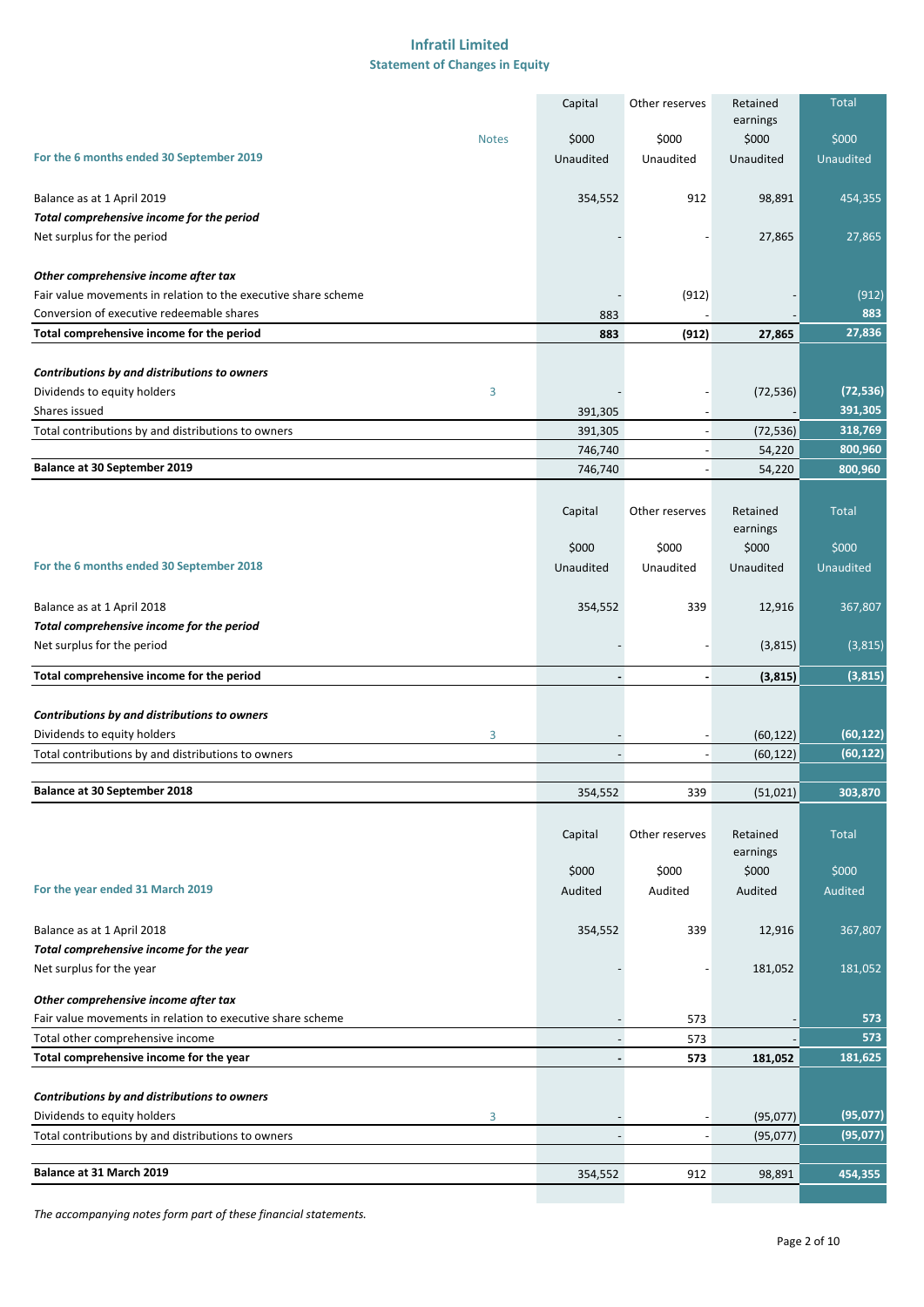#### **Infratil Limited Statement of Changes in Equity**

|                                                                | Capital                  | Other reserves           | Retained             | <b>Total</b> |
|----------------------------------------------------------------|--------------------------|--------------------------|----------------------|--------------|
|                                                                |                          |                          | earnings             |              |
| <b>Notes</b>                                                   | \$000                    | \$000                    | \$000                | \$000        |
| For the 6 months ended 30 September 2019                       | Unaudited                | Unaudited                | Unaudited            | Unaudited    |
| Balance as at 1 April 2019                                     | 354,552                  | 912                      | 98,891               | 454,355      |
| Total comprehensive income for the period                      |                          |                          |                      |              |
| Net surplus for the period                                     |                          |                          | 27,865               | 27,865       |
|                                                                |                          |                          |                      |              |
| Other comprehensive income after tax                           |                          |                          |                      |              |
| Fair value movements in relation to the executive share scheme |                          | (912)                    |                      | (912)        |
| Conversion of executive redeemable shares                      | 883                      |                          |                      | 883          |
| Total comprehensive income for the period                      | 883                      | (912)                    | 27,865               | 27,836       |
|                                                                |                          |                          |                      |              |
| Contributions by and distributions to owners                   |                          |                          |                      |              |
| Dividends to equity holders<br>3                               |                          |                          | (72, 536)            | (72, 536)    |
| Shares issued                                                  | 391,305                  |                          |                      | 391,305      |
| Total contributions by and distributions to owners             | 391,305                  |                          | (72, 536)            | 318,769      |
|                                                                | 746,740                  |                          | 54,220               | 800,960      |
| Balance at 30 September 2019                                   | 746,740                  | $\overline{\phantom{a}}$ | 54,220               | 800,960      |
|                                                                |                          |                          |                      |              |
|                                                                | Capital                  | Other reserves           | Retained<br>earnings | <b>Total</b> |
|                                                                | \$000                    | \$000                    | \$000                | \$000        |
| For the 6 months ended 30 September 2018                       | Unaudited                | Unaudited                | Unaudited            | Unaudited    |
|                                                                |                          |                          |                      |              |
| Balance as at 1 April 2018                                     | 354,552                  | 339                      | 12,916               | 367,807      |
| Total comprehensive income for the period                      |                          |                          |                      |              |
| Net surplus for the period                                     |                          |                          | (3,815)              | (3,815)      |
| Total comprehensive income for the period                      |                          |                          | (3, 815)             | (3,815)      |
|                                                                |                          |                          |                      |              |
| Contributions by and distributions to owners                   |                          |                          |                      |              |
| Dividends to equity holders<br>3                               |                          |                          | (60, 122)            | (60, 122)    |
| Total contributions by and distributions to owners             |                          |                          | (60, 122)            | (60, 122)    |
|                                                                |                          |                          |                      |              |
| <b>Balance at 30 September 2018</b>                            | 354,552                  | 339                      | (51,021)             | 303,870      |
|                                                                |                          |                          |                      |              |
|                                                                | Capital                  | Other reserves           | Retained             | <b>Total</b> |
|                                                                |                          |                          | earnings             |              |
|                                                                | \$000                    | \$000                    | \$000                | \$000        |
| For the year ended 31 March 2019                               | Audited                  | Audited                  | Audited              | Audited      |
|                                                                |                          |                          |                      |              |
| Balance as at 1 April 2018                                     | 354,552                  | 339                      | 12,916               | 367,807      |
| Total comprehensive income for the year                        |                          |                          |                      |              |
| Net surplus for the year                                       |                          |                          | 181,052              | 181,052      |
| Other comprehensive income after tax                           |                          |                          |                      |              |
| Fair value movements in relation to executive share scheme     |                          | 573                      |                      | 573          |
| Total other comprehensive income                               | $\overline{\phantom{a}}$ | 573                      |                      | 573          |
| Total comprehensive income for the year                        | $\overline{\phantom{a}}$ | 573                      | 181,052              | 181,625      |
|                                                                |                          |                          |                      |              |
| Contributions by and distributions to owners                   |                          |                          |                      |              |
| Dividends to equity holders<br>3                               |                          |                          | (95,077)             | (95, 077)    |
| Total contributions by and distributions to owners             |                          |                          | (95,077)             | (95, 077)    |
|                                                                |                          |                          |                      |              |
| Balance at 31 March 2019                                       | 354,552                  | 912                      | 98,891               | 454,355      |
|                                                                |                          |                          |                      |              |

*The accompanying notes form part of these financial statements.*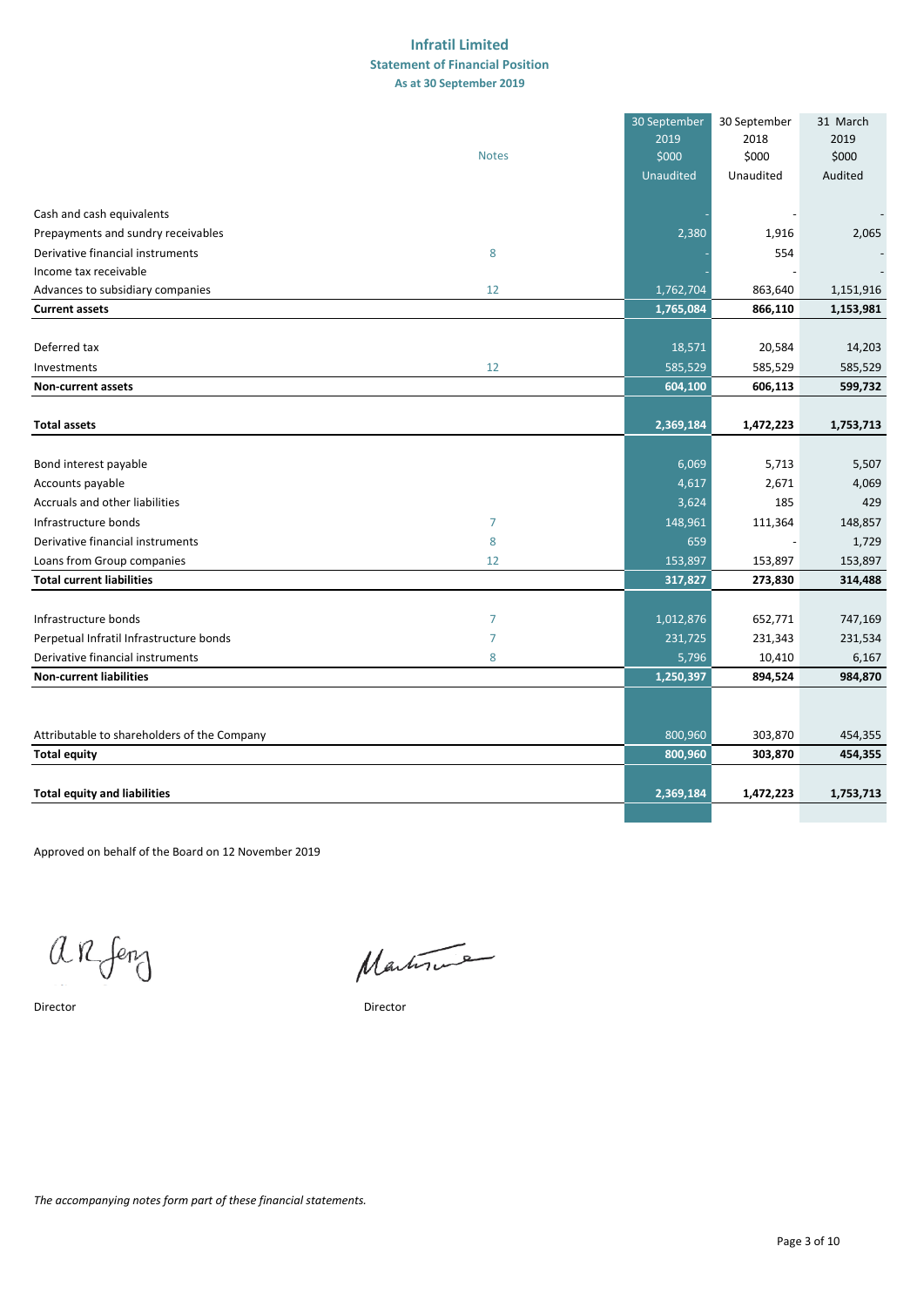#### **As at 30 September 2019 Infratil Limited Statement of Financial Position**

|                                             |                | 30 September<br>2019 | 30 September<br>2018 | 31 March<br>2019 |
|---------------------------------------------|----------------|----------------------|----------------------|------------------|
|                                             | <b>Notes</b>   | \$000                | \$000                | \$000            |
|                                             |                | <b>Unaudited</b>     | Unaudited            | Audited          |
| Cash and cash equivalents                   |                |                      |                      |                  |
| Prepayments and sundry receivables          |                | 2,380                | 1,916                | 2,065            |
| Derivative financial instruments            | 8              |                      | 554                  |                  |
| Income tax receivable                       |                |                      |                      |                  |
| Advances to subsidiary companies            | 12             | 1,762,704            | 863,640              | 1,151,916        |
| <b>Current assets</b>                       |                | 1,765,084            | 866,110              | 1,153,981        |
|                                             |                |                      |                      |                  |
| Deferred tax                                |                | 18,571               | 20,584               | 14,203           |
| Investments                                 | 12             | 585,529              | 585,529              | 585,529          |
| <b>Non-current assets</b>                   |                | 604,100              | 606,113              | 599,732          |
| <b>Total assets</b>                         |                | 2,369,184            | 1,472,223            | 1,753,713        |
|                                             |                |                      |                      |                  |
| Bond interest payable                       |                | 6,069                | 5,713                | 5,507            |
| Accounts payable                            |                | 4,617                | 2,671                | 4,069            |
| Accruals and other liabilities              |                | 3,624                | 185                  | 429              |
| Infrastructure bonds                        | $\overline{7}$ | 148,961              | 111,364              | 148,857          |
| Derivative financial instruments            | 8              | 659                  |                      | 1,729            |
| Loans from Group companies                  | 12             | 153,897              | 153,897              | 153,897          |
| <b>Total current liabilities</b>            |                | 317,827              | 273,830              | 314,488          |
|                                             |                |                      |                      |                  |
| Infrastructure bonds                        | $\overline{7}$ | 1,012,876            | 652,771              | 747,169          |
| Perpetual Infratil Infrastructure bonds     | 7              | 231,725              | 231,343              | 231,534          |
| Derivative financial instruments            | 8              | 5,796                | 10,410               | 6,167            |
| <b>Non-current liabilities</b>              |                | 1,250,397            | 894,524              | 984,870          |
|                                             |                |                      |                      |                  |
| Attributable to shareholders of the Company |                | 800,960              | 303,870              | 454,355          |
| <b>Total equity</b>                         |                | 800,960              | 303,870              | 454,355          |
|                                             |                |                      |                      |                  |
| <b>Total equity and liabilities</b>         |                | 2,369,184            | 1,472,223            | 1,753,713        |
|                                             |                |                      |                      |                  |

Approved on behalf of the Board on 12 November 2019

 $arf$ 

Martin

Director Director

*The accompanying notes form part of these financial statements.*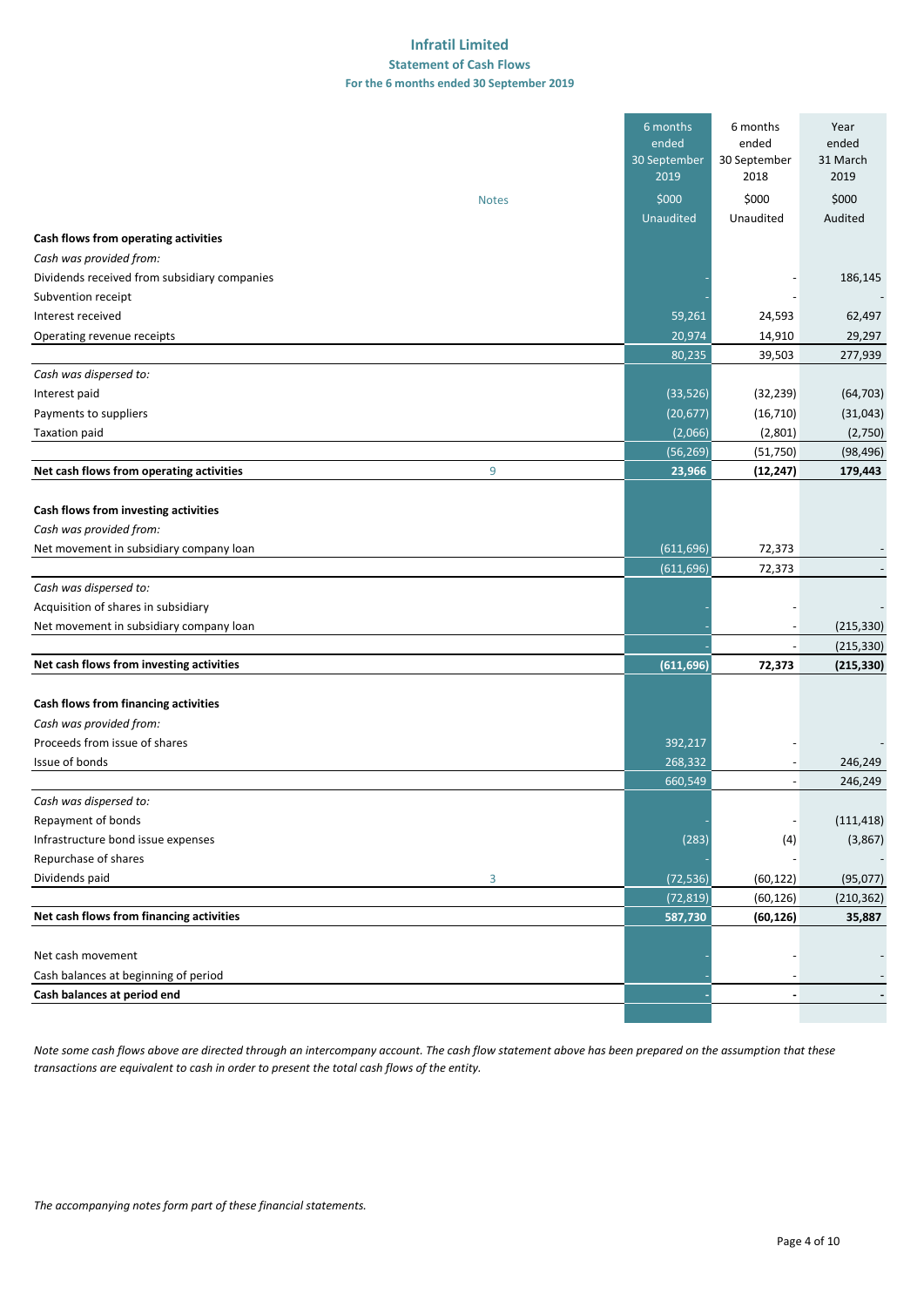#### **Infratil Limited Statement of Cash Flows For the 6 months ended 30 September 2019**

|                                                                                                            |              | 6 months<br>ended<br>30 September<br>2019 | 6 months<br>ended<br>30 September<br>2018 | Year<br>ended<br>31 March<br>2019 |
|------------------------------------------------------------------------------------------------------------|--------------|-------------------------------------------|-------------------------------------------|-----------------------------------|
|                                                                                                            | <b>Notes</b> | \$000                                     | \$000                                     | \$000                             |
|                                                                                                            |              | <b>Unaudited</b>                          | Unaudited                                 | Audited                           |
| Cash flows from operating activities                                                                       |              |                                           |                                           |                                   |
| Cash was provided from:                                                                                    |              |                                           |                                           |                                   |
| Dividends received from subsidiary companies                                                               |              |                                           |                                           | 186,145                           |
| Subvention receipt                                                                                         |              |                                           |                                           |                                   |
| Interest received                                                                                          |              | 59,261                                    | 24,593                                    | 62,497                            |
| Operating revenue receipts                                                                                 |              | 20,974                                    | 14,910                                    | 29,297                            |
|                                                                                                            |              | 80,235                                    | 39,503                                    | 277,939                           |
| Cash was dispersed to:                                                                                     |              |                                           |                                           |                                   |
| Interest paid                                                                                              |              | (33, 526)                                 | (32, 239)                                 | (64, 703)                         |
| Payments to suppliers                                                                                      |              | (20, 677)                                 | (16, 710)                                 | (31,043)                          |
| <b>Taxation paid</b>                                                                                       |              | (2,066)                                   | (2,801)                                   | (2,750)                           |
|                                                                                                            |              | (56, 269)                                 | (51,750)                                  | (98, 496)                         |
| Net cash flows from operating activities                                                                   | 9            | 23,966                                    | (12, 247)                                 | 179,443                           |
| Cash flows from investing activities<br>Cash was provided from:<br>Net movement in subsidiary company loan |              | (611, 696)                                | 72,373                                    |                                   |
|                                                                                                            |              | (611, 696)                                | 72,373                                    |                                   |
| Cash was dispersed to:                                                                                     |              |                                           |                                           |                                   |
| Acquisition of shares in subsidiary                                                                        |              |                                           |                                           |                                   |
| Net movement in subsidiary company loan                                                                    |              |                                           |                                           | (215, 330)                        |
|                                                                                                            |              |                                           |                                           | (215, 330)                        |
| Net cash flows from investing activities                                                                   |              | (611, 696)                                | 72,373                                    | (215, 330)                        |
| Cash flows from financing activities                                                                       |              |                                           |                                           |                                   |
| Cash was provided from:                                                                                    |              |                                           |                                           |                                   |
| Proceeds from issue of shares                                                                              |              | 392,217                                   |                                           |                                   |
| Issue of bonds                                                                                             |              | 268,332                                   | $\overline{\phantom{a}}$                  | 246,249                           |
|                                                                                                            |              | 660,549                                   | $\overline{\phantom{a}}$                  | 246,249                           |
| Cash was dispersed to:                                                                                     |              |                                           |                                           |                                   |
| Repayment of bonds                                                                                         |              |                                           |                                           | (111, 418)                        |
| Infrastructure bond issue expenses                                                                         |              | (283)                                     | (4)                                       | (3,867)                           |
| Repurchase of shares                                                                                       |              |                                           |                                           |                                   |
| Dividends paid                                                                                             | 3            | (72, 536)                                 | (60, 122)                                 | (95,077)                          |
|                                                                                                            |              | (72, 819)                                 | (60, 126)                                 | (210, 362)                        |
| Net cash flows from financing activities                                                                   |              | 587,730                                   | (60, 126)                                 | 35,887                            |
|                                                                                                            |              |                                           |                                           |                                   |
| Net cash movement                                                                                          |              |                                           |                                           |                                   |
| Cash balances at beginning of period                                                                       |              |                                           |                                           |                                   |
| Cash balances at period end                                                                                |              |                                           | $\overline{\phantom{a}}$                  |                                   |
|                                                                                                            |              |                                           |                                           |                                   |

*Note some cash flows above are directed through an intercompany account. The cash flow statement above has been prepared on the assumption that these transactions are equivalent to cash in order to present the total cash flows of the entity.*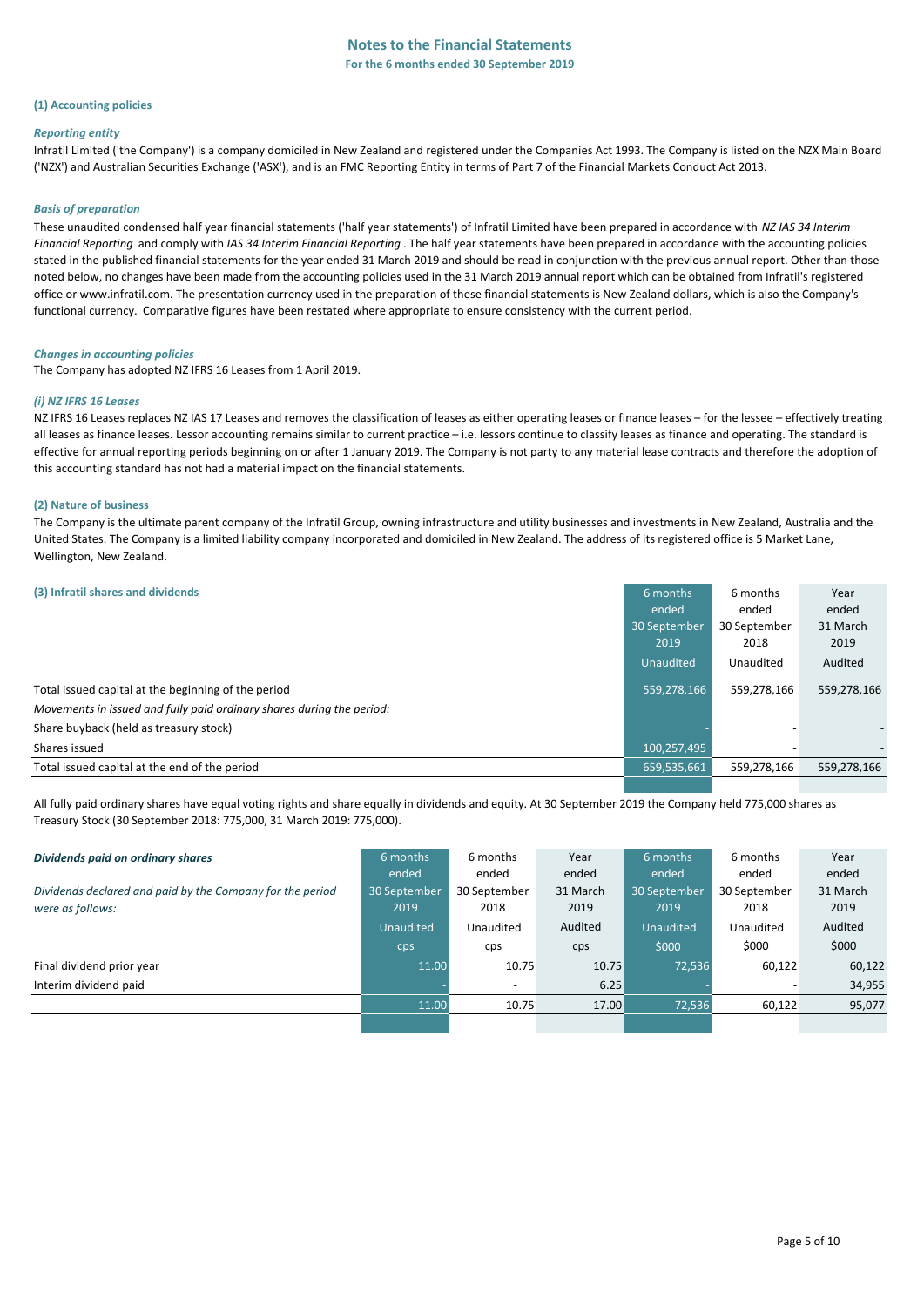#### **(1) Accounting policies**

#### *Reporting entity*

Infratil Limited ('the Company') is a company domiciled in New Zealand and registered under the Companies Act 1993. The Company is listed on the NZX Main Board ('NZX') and Australian Securities Exchange ('ASX'), and is an FMC Reporting Entity in terms of Part 7 of the Financial Markets Conduct Act 2013.

#### *Basis of preparation*

These unaudited condensed half year financial statements ('half year statements') of Infratil Limited have been prepared in accordance with *NZ IAS 34 Interim Financial Reporting* and comply with *IAS 34 Interim Financial Reporting* . The half year statements have been prepared in accordance with the accounting policies stated in the published financial statements for the year ended 31 March 2019 and should be read in conjunction with the previous annual report. Other than those noted below, no changes have been made from the accounting policies used in the 31 March 2019 annual report which can be obtained from Infratil's registered office or www.infratil.com. The presentation currency used in the preparation of these financial statements is New Zealand dollars, which is also the Company's functional currency. Comparative figures have been restated where appropriate to ensure consistency with the current period.

#### *Changes in accounting policies*

The Company has adopted NZ IFRS 16 Leases from 1 April 2019.

#### *(i) NZ IFRS 16 Leases*

NZ IFRS 16 Leases replaces NZ IAS 17 Leases and removes the classification of leases as either operating leases or finance leases – for the lessee – effectively treating all leases as finance leases. Lessor accounting remains similar to current practice – i.e. lessors continue to classify leases as finance and operating. The standard is effective for annual reporting periods beginning on or after 1 January 2019. The Company is not party to any material lease contracts and therefore the adoption of this accounting standard has not had a material impact on the financial statements.

#### **(2) Nature of business**

The Company is the ultimate parent company of the Infratil Group, owning infrastructure and utility businesses and investments in New Zealand, Australia and the United States. The Company is a limited liability company incorporated and domiciled in New Zealand. The address of its registered office is 5 Market Lane, Wellington, New Zealand.

| (3) Infratil shares and dividends                                     | 6 months     | 6 months     | Year        |
|-----------------------------------------------------------------------|--------------|--------------|-------------|
|                                                                       | ended        | ended        | ended       |
|                                                                       | 30 September | 30 September | 31 March    |
|                                                                       | 2019         | 2018         | 2019        |
|                                                                       | Unaudited    | Unaudited    | Audited     |
| Total issued capital at the beginning of the period                   | 559,278,166  | 559.278.166  | 559,278,166 |
| Movements in issued and fully paid ordinary shares during the period: |              |              |             |
| Share buyback (held as treasury stock)                                |              |              |             |
| Shares issued                                                         | 100,257,495  | -            |             |
| Total issued capital at the end of the period                         | 659,535,661  | 559,278,166  | 559,278,166 |
|                                                                       |              |              |             |

All fully paid ordinary shares have equal voting rights and share equally in dividends and equity. At 30 September 2019 the Company held 775,000 shares as Treasury Stock (30 September 2018: 775,000, 31 March 2019: 775,000).

| Dividends paid on ordinary shares                         | 6 months         | 6 months                 | Year     | 6 months         | 6 months     | Year     |
|-----------------------------------------------------------|------------------|--------------------------|----------|------------------|--------------|----------|
|                                                           | ended            | ended                    | ended    | ended            | ended        | ended    |
| Dividends declared and paid by the Company for the period | 30 September     | 30 September             | 31 March | 30 September     | 30 September | 31 March |
| were as follows:                                          | 2019             | 2018                     | 2019     | 2019             | 2018         | 2019     |
|                                                           | <b>Unaudited</b> | Unaudited                | Audited  | <b>Unaudited</b> | Unaudited    | Audited  |
|                                                           | cps              | cps                      | cps      | \$000            | \$000        | \$000    |
| Final dividend prior year                                 | 11.00            | 10.75                    | 10.75    | 72,536           | 60,122       | 60,122   |
| Interim dividend paid                                     |                  | $\overline{\phantom{a}}$ | 6.25     |                  |              | 34,955   |
|                                                           | 11.00            | 10.75                    | 17.00    | 72,536           | 60,122       | 95,077   |
|                                                           |                  |                          |          |                  |              |          |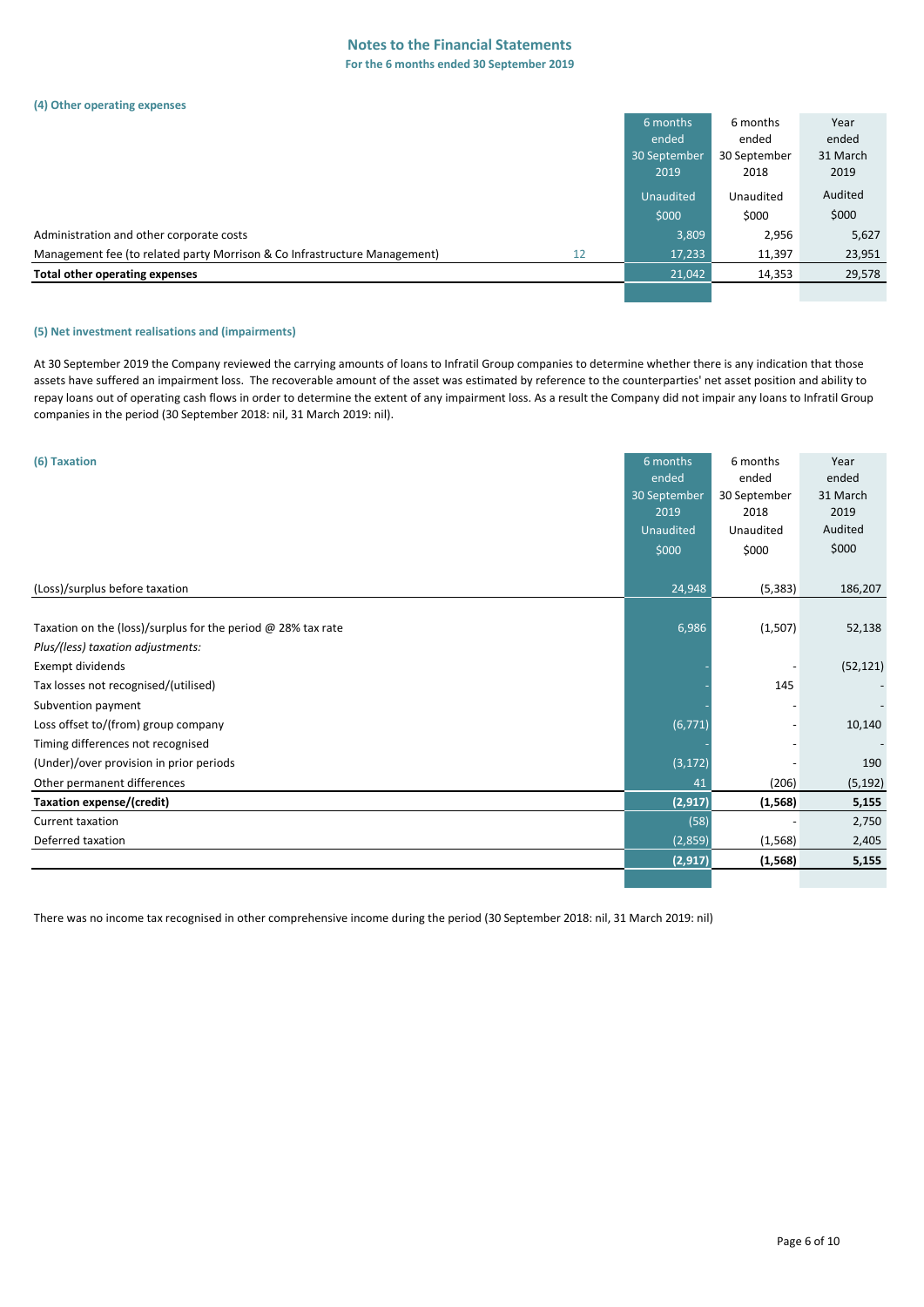#### **Notes to the Financial Statements For the 6 months ended 30 September 2019**

#### **(4) Other operating expenses**

|                                                                           |    | 6 months     | 6 months     | Year     |
|---------------------------------------------------------------------------|----|--------------|--------------|----------|
|                                                                           |    | ended        | ended        | ended    |
|                                                                           |    | 30 September | 30 September | 31 March |
|                                                                           |    | 2019         | 2018         | 2019     |
|                                                                           |    | Unaudited    | Unaudited    | Audited  |
|                                                                           |    | \$000        | \$000        | \$000    |
| Administration and other corporate costs                                  |    | 3,809        | 2,956        | 5,627    |
| Management fee (to related party Morrison & Co Infrastructure Management) | 12 | 17,233       | 11,397       | 23,951   |
| Total other operating expenses                                            |    | 21,042       | 14,353       | 29,578   |
|                                                                           |    |              |              |          |

#### **(5) Net investment realisations and (impairments)**

At 30 September 2019 the Company reviewed the carrying amounts of loans to Infratil Group companies to determine whether there is any indication that those assets have suffered an impairment loss. The recoverable amount of the asset was estimated by reference to the counterparties' net asset position and ability to repay loans out of operating cash flows in order to determine the extent of any impairment loss. As a result the Company did not impair any loans to Infratil Group companies in the period (30 September 2018: nil, 31 March 2019: nil).

| (6) Taxation                                                   | 6 months             | 6 months              | Year              |
|----------------------------------------------------------------|----------------------|-----------------------|-------------------|
|                                                                | ended                | ended<br>30 September | ended<br>31 March |
|                                                                | 30 September<br>2019 | 2018                  | 2019              |
|                                                                | Unaudited            | Unaudited             | Audited           |
|                                                                | \$000                | \$000                 | \$000             |
|                                                                |                      |                       |                   |
| (Loss)/surplus before taxation                                 | 24,948               | (5, 383)              | 186,207           |
|                                                                |                      |                       |                   |
| Taxation on the (loss)/surplus for the period $@$ 28% tax rate | 6,986                | (1,507)               | 52,138            |
| Plus/(less) taxation adjustments:                              |                      |                       |                   |
| Exempt dividends                                               |                      |                       | (52, 121)         |
| Tax losses not recognised/(utilised)                           |                      | 145                   |                   |
| Subvention payment                                             |                      |                       |                   |
| Loss offset to/(from) group company                            | (6, 771)             |                       | 10,140            |
| Timing differences not recognised                              |                      |                       |                   |
| (Under)/over provision in prior periods                        | (3, 172)             |                       | 190               |
| Other permanent differences                                    | 41                   | (206)                 | (5, 192)          |
| Taxation expense/(credit)                                      | (2, 917)             | (1, 568)              | 5,155             |
| <b>Current taxation</b>                                        | (58)                 |                       | 2,750             |
| Deferred taxation                                              | (2,859)              | (1, 568)              | 2,405             |
|                                                                | (2, 917)             | (1, 568)              | 5,155             |
|                                                                |                      |                       |                   |

There was no income tax recognised in other comprehensive income during the period (30 September 2018: nil, 31 March 2019: nil)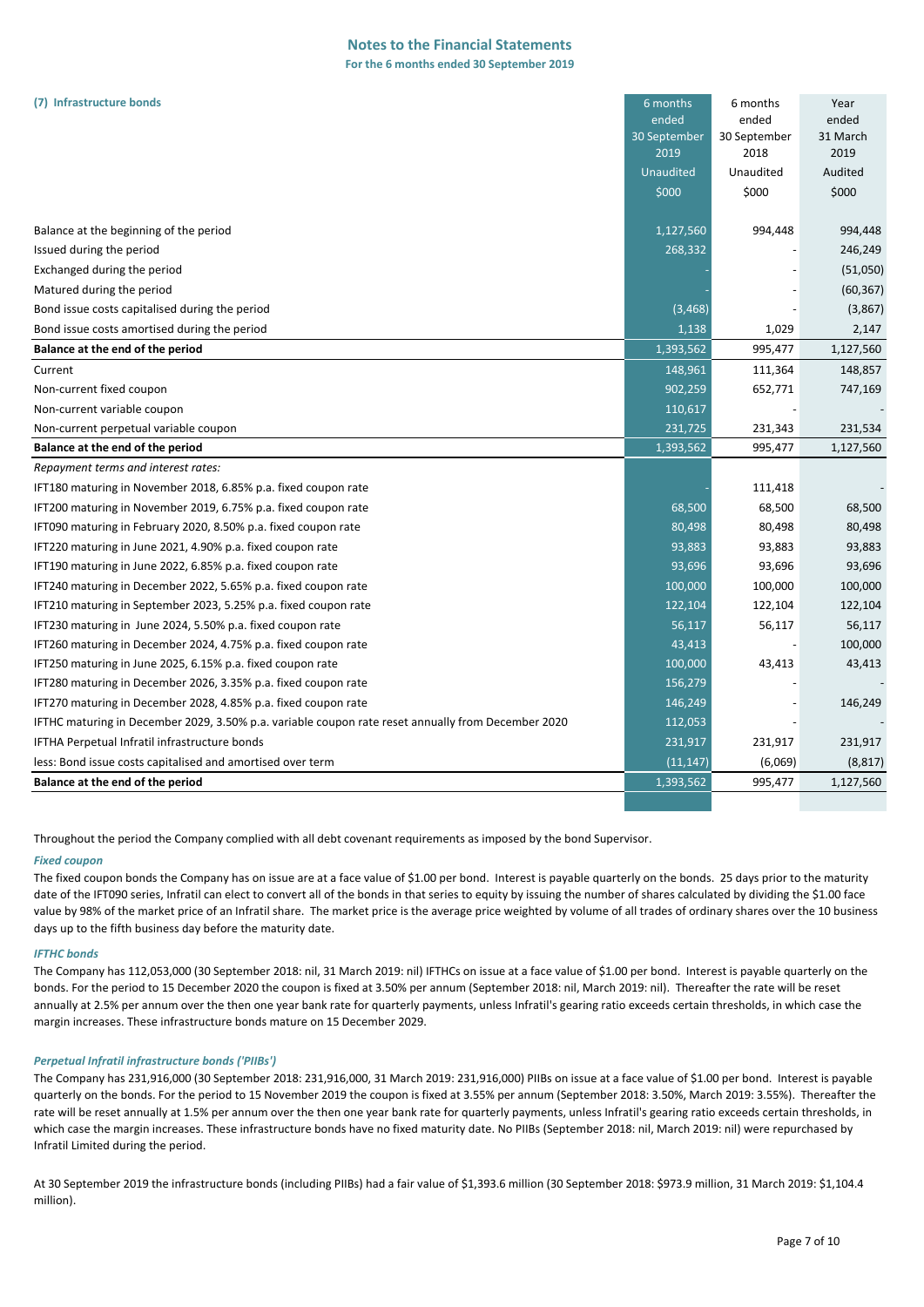### **Notes to the Financial Statements**

**For the 6 months ended 30 September 2019**

| (7) Infrastructure bonds                                                                           | 6 months         | 6 months     | Year      |
|----------------------------------------------------------------------------------------------------|------------------|--------------|-----------|
|                                                                                                    | ended            | ended        | ended     |
|                                                                                                    | 30 September     | 30 September | 31 March  |
|                                                                                                    | 2019             | 2018         | 2019      |
|                                                                                                    | <b>Unaudited</b> | Unaudited    | Audited   |
|                                                                                                    | \$000            | \$000        | \$000     |
| Balance at the beginning of the period                                                             | 1,127,560        | 994,448      | 994,448   |
| Issued during the period                                                                           | 268,332          |              | 246,249   |
| Exchanged during the period                                                                        |                  |              | (51,050)  |
| Matured during the period                                                                          |                  |              | (60, 367) |
| Bond issue costs capitalised during the period                                                     | (3, 468)         |              | (3,867)   |
| Bond issue costs amortised during the period                                                       | 1,138            | 1,029        | 2,147     |
| Balance at the end of the period                                                                   | 1,393,562        | 995,477      | 1,127,560 |
| Current                                                                                            | 148,961          | 111,364      | 148,857   |
| Non-current fixed coupon                                                                           | 902,259          | 652,771      | 747,169   |
| Non-current variable coupon                                                                        | 110,617          |              |           |
| Non-current perpetual variable coupon                                                              | 231,725          | 231,343      | 231,534   |
| Balance at the end of the period                                                                   | 1,393,562        | 995,477      | 1,127,560 |
| Repayment terms and interest rates:                                                                |                  |              |           |
| IFT180 maturing in November 2018, 6.85% p.a. fixed coupon rate                                     |                  | 111,418      |           |
| IFT200 maturing in November 2019, 6.75% p.a. fixed coupon rate                                     | 68,500           | 68,500       | 68,500    |
| IFT090 maturing in February 2020, 8.50% p.a. fixed coupon rate                                     | 80,498           | 80,498       | 80,498    |
| IFT220 maturing in June 2021, 4.90% p.a. fixed coupon rate                                         | 93,883           | 93,883       | 93,883    |
| IFT190 maturing in June 2022, 6.85% p.a. fixed coupon rate                                         | 93,696           | 93,696       | 93,696    |
| IFT240 maturing in December 2022, 5.65% p.a. fixed coupon rate                                     | 100,000          | 100,000      | 100,000   |
| IFT210 maturing in September 2023, 5.25% p.a. fixed coupon rate                                    | 122,104          | 122,104      | 122,104   |
| IFT230 maturing in June 2024, 5.50% p.a. fixed coupon rate                                         | 56,117           | 56,117       | 56,117    |
| IFT260 maturing in December 2024, 4.75% p.a. fixed coupon rate                                     | 43,413           |              | 100,000   |
| IFT250 maturing in June 2025, 6.15% p.a. fixed coupon rate                                         | 100,000          | 43,413       | 43,413    |
| IFT280 maturing in December 2026, 3.35% p.a. fixed coupon rate                                     | 156,279          |              |           |
| IFT270 maturing in December 2028, 4.85% p.a. fixed coupon rate                                     | 146,249          |              | 146,249   |
| IFTHC maturing in December 2029, 3.50% p.a. variable coupon rate reset annually from December 2020 | 112,053          |              |           |
| IFTHA Perpetual Infratil infrastructure bonds                                                      | 231,917          | 231,917      | 231,917   |
| less: Bond issue costs capitalised and amortised over term                                         | (11, 147)        | (6,069)      | (8, 817)  |
| Balance at the end of the period                                                                   | 1,393,562        | 995,477      | 1,127,560 |
|                                                                                                    |                  |              |           |

Throughout the period the Company complied with all debt covenant requirements as imposed by the bond Supervisor.

#### *Fixed coupon*

The fixed coupon bonds the Company has on issue are at a face value of \$1.00 per bond. Interest is payable quarterly on the bonds. 25 days prior to the maturity date of the IFT090 series, Infratil can elect to convert all of the bonds in that series to equity by issuing the number of shares calculated by dividing the \$1.00 face value by 98% of the market price of an Infratil share. The market price is the average price weighted by volume of all trades of ordinary shares over the 10 business days up to the fifth business day before the maturity date.

#### *IFTHC bonds*

The Company has 112,053,000 (30 September 2018: nil, 31 March 2019: nil) IFTHCs on issue at a face value of \$1.00 per bond. Interest is payable quarterly on the bonds. For the period to 15 December 2020 the coupon is fixed at 3.50% per annum (September 2018: nil, March 2019: nil). Thereafter the rate will be reset annually at 2.5% per annum over the then one year bank rate for quarterly payments, unless Infratil's gearing ratio exceeds certain thresholds, in which case the margin increases. These infrastructure bonds mature on 15 December 2029.

#### *Perpetual Infratil infrastructure bonds ('PIIBs')*

The Company has 231,916,000 (30 September 2018: 231,916,000, 31 March 2019: 231,916,000) PIIBs on issue at a face value of \$1.00 per bond. Interest is payable quarterly on the bonds. For the period to 15 November 2019 the coupon is fixed at 3.55% per annum (September 2018: 3.50%, March 2019: 3.55%). Thereafter the rate will be reset annually at 1.5% per annum over the then one year bank rate for quarterly payments, unless Infratil's gearing ratio exceeds certain thresholds, in which case the margin increases. These infrastructure bonds have no fixed maturity date. No PIIBs (September 2018: nil, March 2019: nil) were repurchased by Infratil Limited during the period.

At 30 September 2019 the infrastructure bonds (including PIIBs) had a fair value of \$1,393.6 million (30 September 2018: \$973.9 million, 31 March 2019: \$1,104.4 million).

Year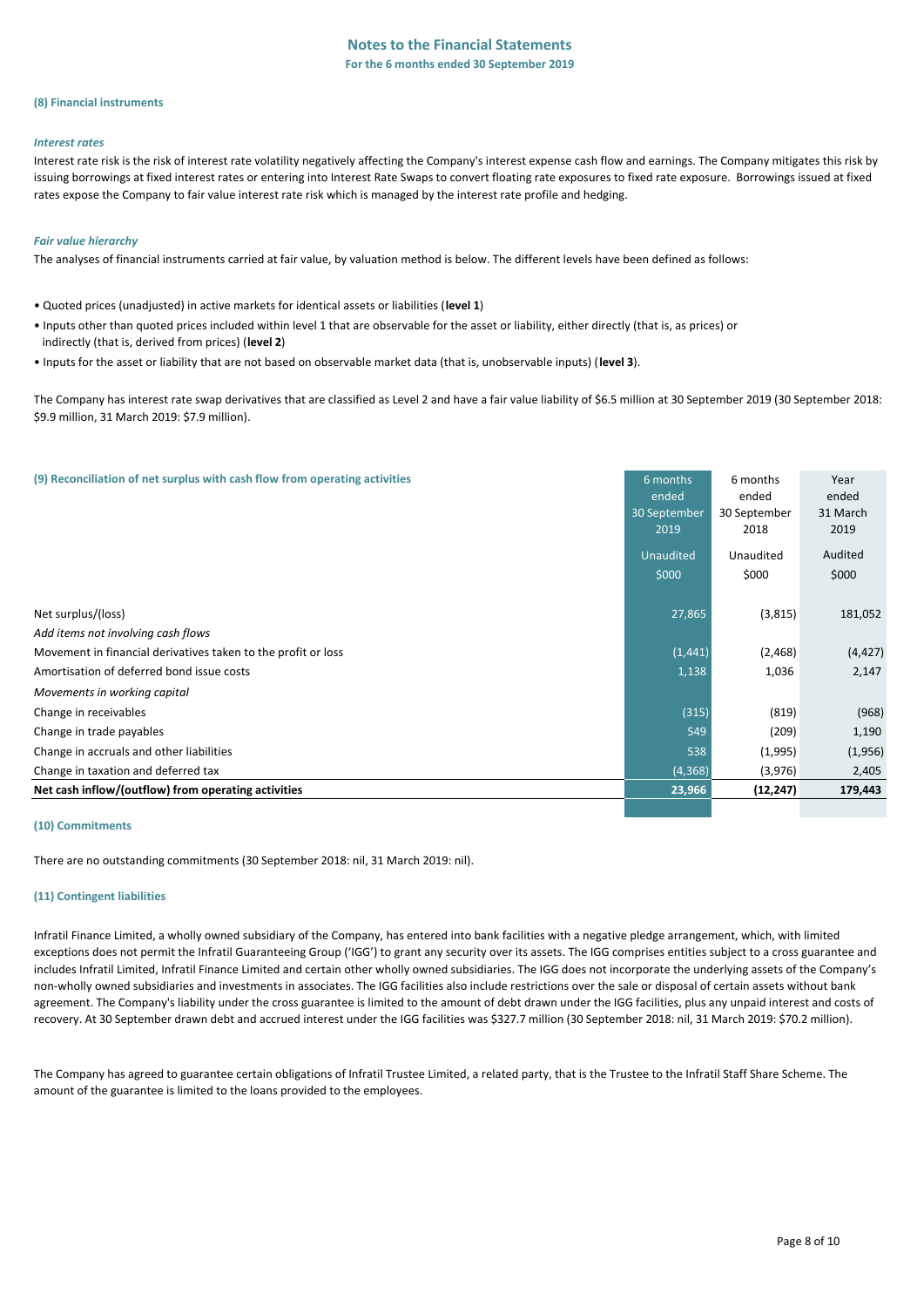#### **(8) Financial instruments**

#### *Interest rates*

Interest rate risk is the risk of interest rate volatility negatively affecting the Company's interest expense cash flow and earnings. The Company mitigates this risk by issuing borrowings at fixed interest rates or entering into Interest Rate Swaps to convert floating rate exposures to fixed rate exposure. Borrowings issued at fixed rates expose the Company to fair value interest rate risk which is managed by the interest rate profile and hedging.

#### *Fair value hierarchy*

The analyses of financial instruments carried at fair value, by valuation method is below. The different levels have been defined as follows:

- Quoted prices (unadjusted) in active markets for identical assets or liabilities (**level 1**)
- Inputs other than quoted prices included within level 1 that are observable for the asset or liability, either directly (that is, as prices) or indirectly (that is, derived from prices) (**level 2**)
- Inputs for the asset or liability that are not based on observable market data (that is, unobservable inputs) (**level 3**).

The Company has interest rate swap derivatives that are classified as Level 2 and have a fair value liability of \$6.5 million at 30 September 2019 (30 September 2018: \$9.9 million, 31 March 2019: \$7.9 million).

| (9) Reconciliation of net surplus with cash flow from operating activities | 6 months<br>ended<br>30 September<br>2019 | 6 months<br>ended<br>30 September<br>2018 | Year<br>ended<br>31 March<br>2019 |
|----------------------------------------------------------------------------|-------------------------------------------|-------------------------------------------|-----------------------------------|
|                                                                            | Unaudited                                 | Unaudited                                 | Audited                           |
|                                                                            | \$000                                     | \$000                                     | \$000                             |
| Net surplus/(loss)                                                         | 27,865                                    | (3,815)                                   | 181,052                           |
| Add items not involving cash flows                                         |                                           |                                           |                                   |
| Movement in financial derivatives taken to the profit or loss              | (1, 441)                                  | (2, 468)                                  | (4, 427)                          |
| Amortisation of deferred bond issue costs                                  | 1,138                                     | 1,036                                     | 2,147                             |
| Movements in working capital                                               |                                           |                                           |                                   |
| Change in receivables                                                      | (315)                                     | (819)                                     | (968)                             |
| Change in trade payables                                                   | 549                                       | (209)                                     | 1,190                             |
| Change in accruals and other liabilities                                   | 538                                       | (1,995)                                   | (1,956)                           |
| Change in taxation and deferred tax                                        | (4, 368)                                  | (3,976)                                   | 2,405                             |
| Net cash inflow/(outflow) from operating activities                        | 23,966                                    | (12, 247)                                 | 179,443                           |
|                                                                            |                                           |                                           |                                   |

#### **(10) Commitments**

There are no outstanding commitments (30 September 2018: nil, 31 March 2019: nil).

#### **(11) Contingent liabilities**

Infratil Finance Limited, a wholly owned subsidiary of the Company, has entered into bank facilities with a negative pledge arrangement, which, with limited exceptions does not permit the Infratil Guaranteeing Group ('IGG') to grant any security over its assets. The IGG comprises entities subject to a cross guarantee and includes Infratil Limited, Infratil Finance Limited and certain other wholly owned subsidiaries. The IGG does not incorporate the underlying assets of the Company's non-wholly owned subsidiaries and investments in associates. The IGG facilities also include restrictions over the sale or disposal of certain assets without bank agreement. The Company's liability under the cross guarantee is limited to the amount of debt drawn under the IGG facilities, plus any unpaid interest and costs of recovery. At 30 September drawn debt and accrued interest under the IGG facilities was \$327.7 million (30 September 2018: nil, 31 March 2019: \$70.2 million).

The Company has agreed to guarantee certain obligations of Infratil Trustee Limited, a related party, that is the Trustee to the Infratil Staff Share Scheme. The amount of the guarantee is limited to the loans provided to the employees.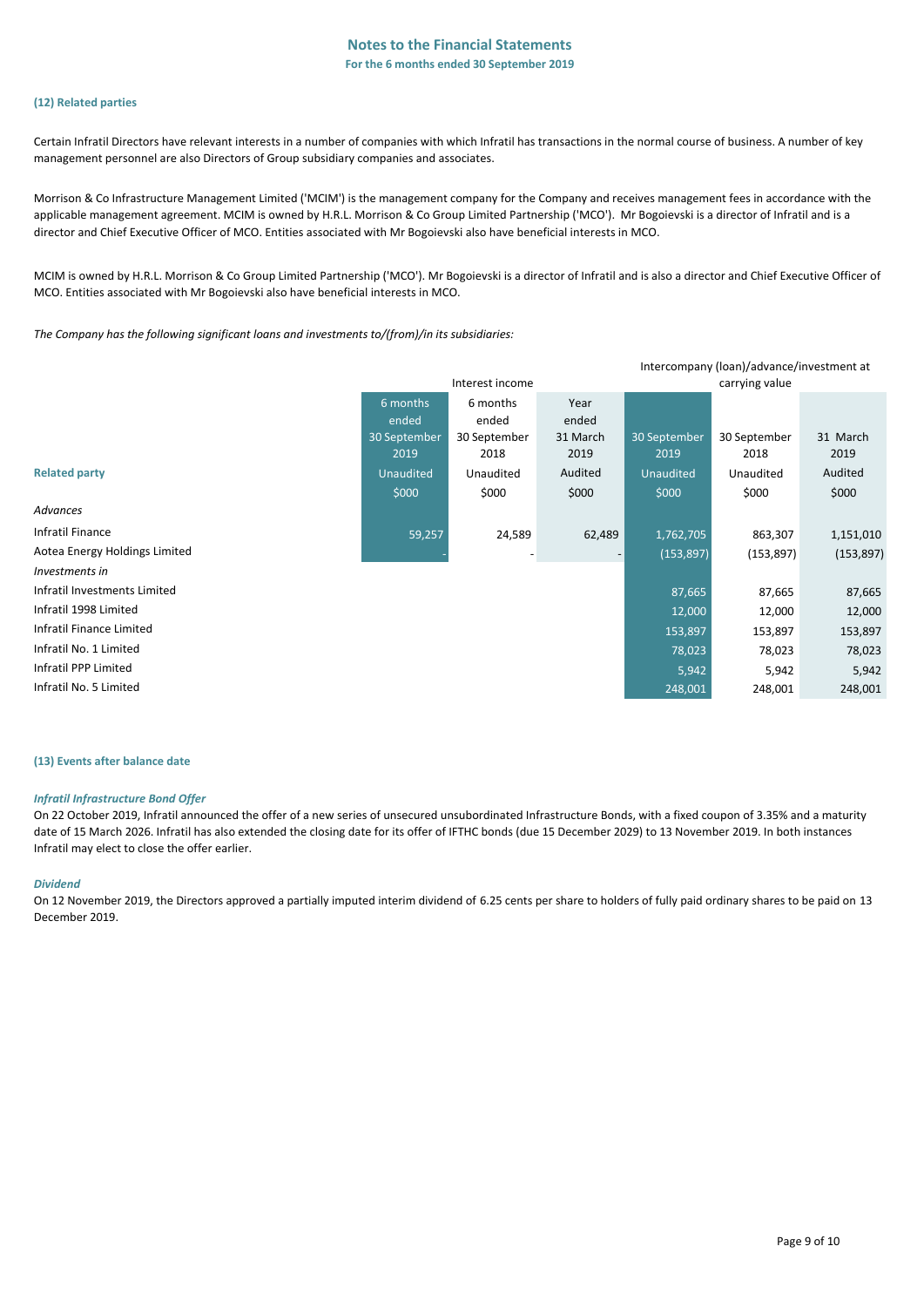#### **(12) Related parties**

Certain Infratil Directors have relevant interests in a number of companies with which Infratil has transactions in the normal course of business. A number of key management personnel are also Directors of Group subsidiary companies and associates.

Morrison & Co Infrastructure Management Limited ('MCIM') is the management company for the Company and receives management fees in accordance with the applicable management agreement. MCIM is owned by H.R.L. Morrison & Co Group Limited Partnership ('MCO'). Mr Bogoievski is a director of Infratil and is a director and Chief Executive Officer of MCO. Entities associated with Mr Bogoievski also have beneficial interests in MCO.

MCIM is owned by H.R.L. Morrison & Co Group Limited Partnership ('MCO'). Mr Bogoievski is a director of Infratil and is also a director and Chief Executive Officer of MCO. Entities associated with Mr Bogoievski also have beneficial interests in MCO.

*The Company has the following significant loans and investments to/(from)/in its subsidiaries:*

| Intercompany (loan)/advance/investment at |              |                 |                          |              |                |            |
|-------------------------------------------|--------------|-----------------|--------------------------|--------------|----------------|------------|
|                                           |              | Interest income |                          |              | carrying value |            |
|                                           | 6 months     | 6 months        | Year                     |              |                |            |
|                                           | ended        | ended           | ended                    |              |                |            |
|                                           | 30 September | 30 September    | 31 March                 | 30 September | 30 September   | 31 March   |
|                                           | 2019         | 2018            | 2019                     | 2019         | 2018           | 2019       |
| <b>Related party</b>                      | Unaudited    | Unaudited       | Audited                  | Unaudited    | Unaudited      | Audited    |
|                                           | \$000        | \$000           | \$000                    | \$000        | \$000          | \$000      |
| Advances                                  |              |                 |                          |              |                |            |
| Infratil Finance                          | 59,257       | 24,589          | 62,489                   | 1,762,705    | 863,307        | 1,151,010  |
| Aotea Energy Holdings Limited             |              |                 | $\overline{\phantom{a}}$ | (153, 897)   | (153, 897)     | (153, 897) |
| Investments in                            |              |                 |                          |              |                |            |
| Infratil Investments Limited              |              |                 |                          | 87,665       | 87,665         | 87,665     |
| Infratil 1998 Limited                     |              |                 |                          | 12,000       | 12,000         | 12,000     |
| Infratil Finance Limited                  |              |                 |                          | 153,897      | 153,897        | 153,897    |
| Infratil No. 1 Limited                    |              |                 |                          | 78,023       | 78,023         | 78,023     |
| Infratil PPP Limited                      |              |                 |                          | 5,942        | 5,942          | 5,942      |
| Infratil No. 5 Limited                    |              |                 |                          | 248,001      | 248,001        | 248,001    |

#### **(13) Events after balance date**

#### *Infratil Infrastructure Bond Offer*

On 22 October 2019, Infratil announced the offer of a new series of unsecured unsubordinated Infrastructure Bonds, with a fixed coupon of 3.35% and a maturity date of 15 March 2026. Infratil has also extended the closing date for its offer of IFTHC bonds (due 15 December 2029) to 13 November 2019. In both instances Infratil may elect to close the offer earlier.

#### *Dividend*

On 12 November 2019, the Directors approved a partially imputed interim dividend of 6.25 cents per share to holders of fully paid ordinary shares to be paid on 13 December 2019.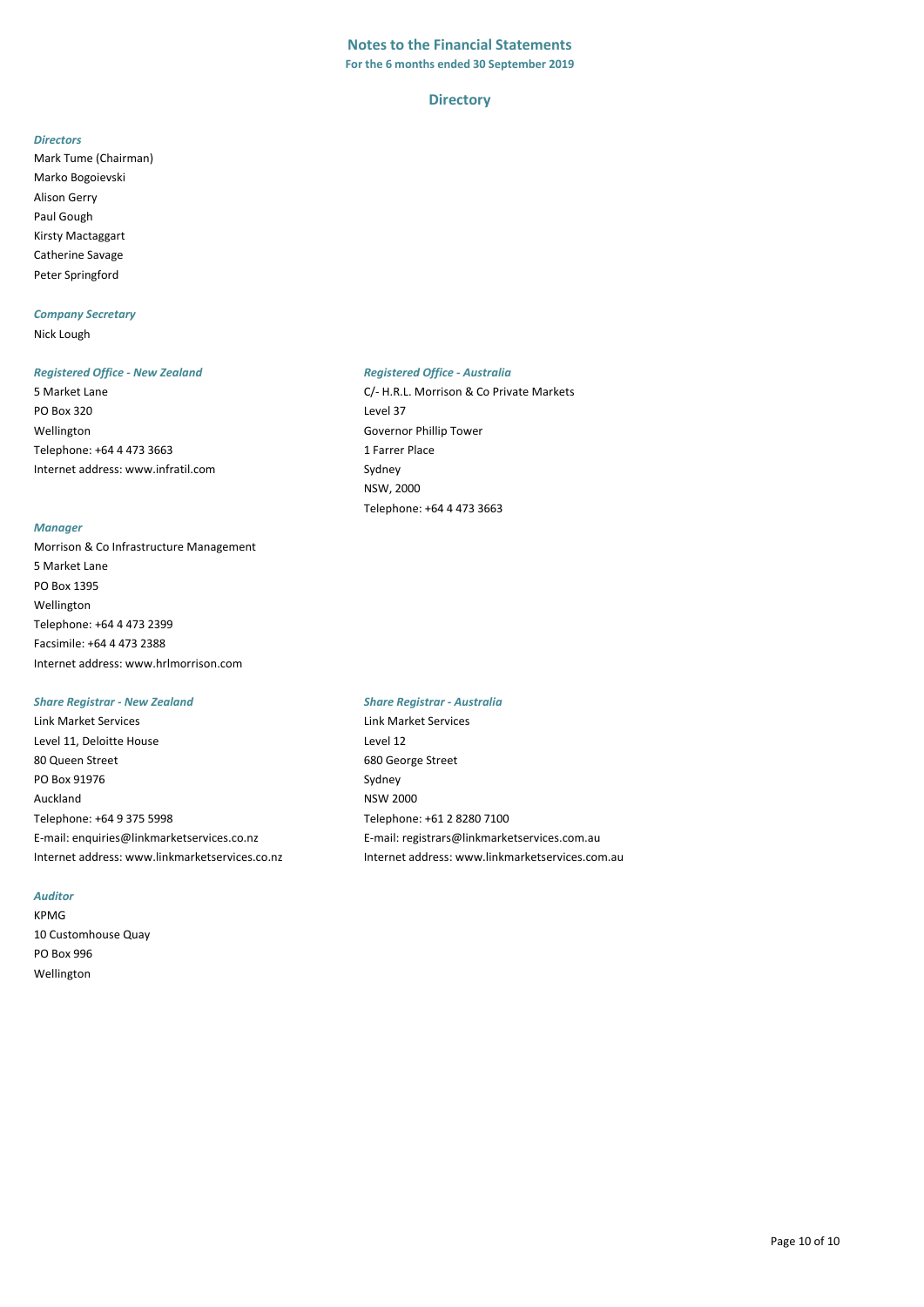## **Notes to the Financial Statements**

**For the 6 months ended 30 September 2019**

#### **Directory**

#### *Directors*

Mark Tume (Chairman) Marko Bogoievski Alison Gerry Paul Gough Kirsty Mactaggart Catherine Savage Peter Springford

#### *Company Secretary*

Nick Lough

#### *Registered Office - New Zealand Registered Office - Australia*

PO Box 320 Level 37 Wellington Governor Phillip Tower Telephone: +64 4 473 3663 1 Farrer Place [Internet address: www.infratil.com](http://www.infratil.com/) Sydney

#### *Manager*

Morrison & Co Infrastructure Management 5 Market Lane PO Box 1395 Wellington Telephone: +64 4 473 2399 Facsimile: +64 4 473 2388 Internet address: www.hrlmorrison.com

#### *Share Registrar - New Zealand Share Registrar - Australia*

Link Market Services Link Market Services Level 11, Deloitte House Level 12 80 Queen Street 680 George Street PO Box 91976 Sydney Auckland NSW 2000 Telephone: +64 9 375 5998 Telephone: +61 2 8280 7100 E-mail: enquiries@linkmarketservices.co.nz E-mail: registrars@linkmarketservices.com.au

#### *Auditor*

KPMG 10 Customhouse Quay PO Box 996 Wellington

5 Market Lane C/- H.R.L. Morrison & Co Private Markets NSW, 2000 Telephone: +64 4 473 3663

Internet address: www.linkmarketservices.co.nz Internet address: www.linkmarketservices.com.au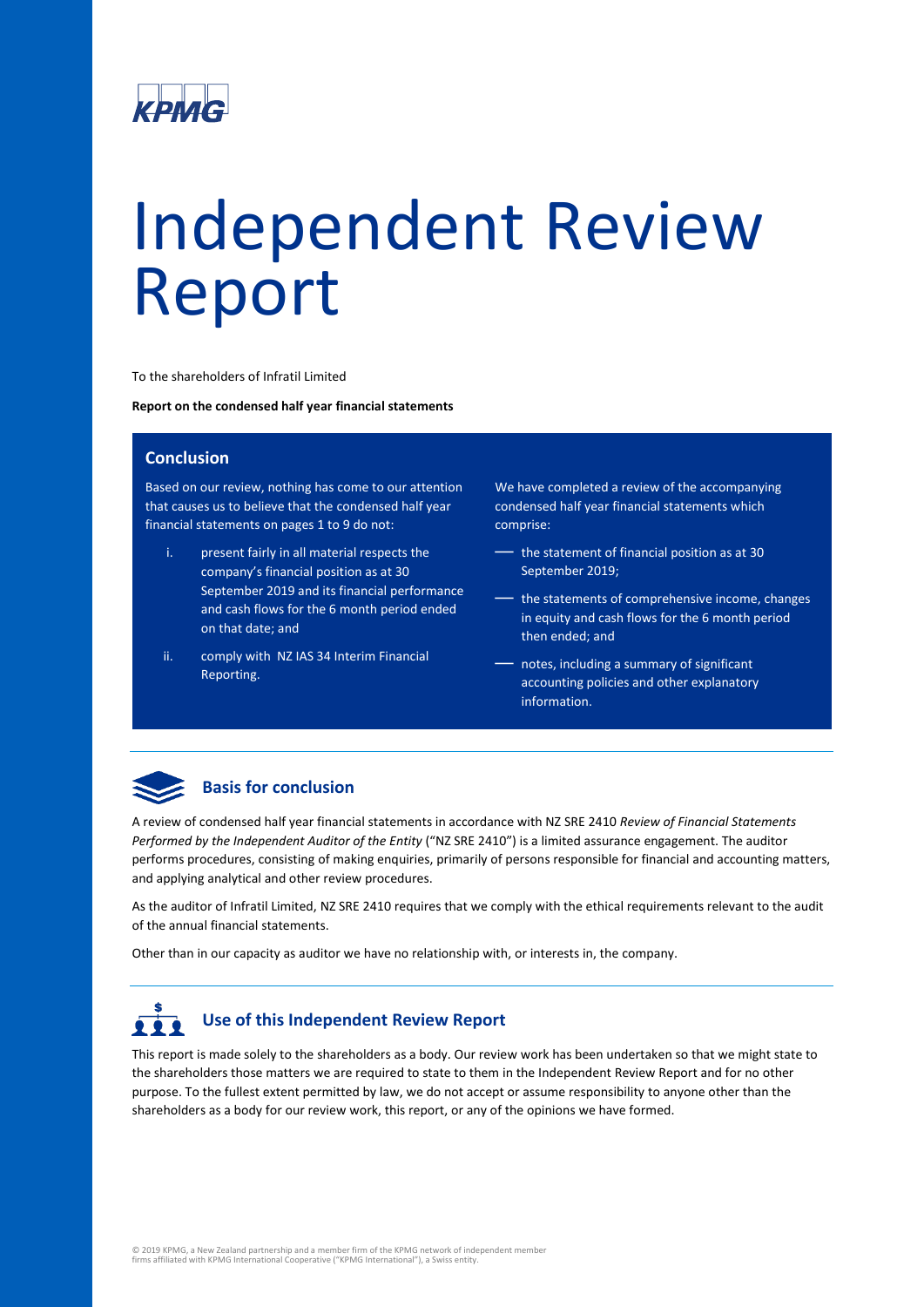

# Independent Review Report

To the shareholders of Infratil Limited

**Report on the condensed half year financial statements**

#### **Conclusion**

Based on our review, nothing has come to our attention that causes us to believe that the condensed half year financial statements on pages 1 to 9 do not:

- i. present fairly in all material respects the company's financial position as at 30 September 2019 and its financial performance and cash flows for the 6 month period ended on that date; and
- ii. comply with NZ IAS 34 Interim Financial Reporting.

We have completed a review of the accompanying condensed half year financial statements which comprise:

- the statement of financial position as at 30 September 2019;
- the statements of comprehensive income, changes in equity and cash flows for the 6 month period then ended; and
- notes, including a summary of significant accounting policies and other explanatory information.



#### **Basis for conclusion**

A review of condensed half year financial statements in accordance with NZ SRE 2410 *Review of Financial Statements Performed by the Independent Auditor of the Entity* ("NZ SRE 2410") is a limited assurance engagement. The auditor performs procedures, consisting of making enquiries, primarily of persons responsible for financial and accounting matters, and applying analytical and other review procedures.

As the auditor of Infratil Limited, NZ SRE 2410 requires that we comply with the ethical requirements relevant to the audit of the annual financial statements.

Other than in our capacity as auditor we have no relationship with, or interests in, the company.

# **Use of this Independent Review Report**

This report is made solely to the shareholders as a body. Our review work has been undertaken so that we might state to the shareholders those matters we are required to state to them in the Independent Review Report and for no other purpose. To the fullest extent permitted by law, we do not accept or assume responsibility to anyone other than the shareholders as a body for our review work, this report, or any of the opinions we have formed.